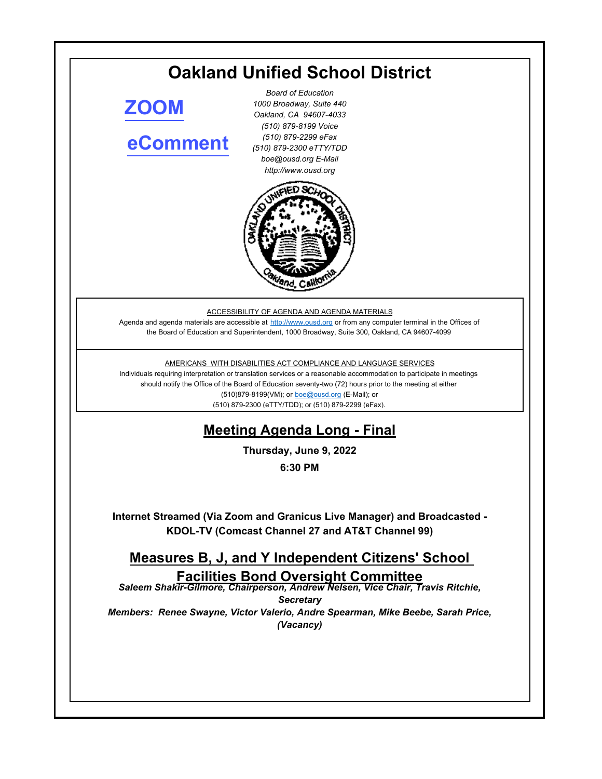### **Oakland Unified School District** *Board of Education 1000 Broadway, Suite 440 Oakland, CA 94607-4033* **[ZOOM](https://ousd.zoom.us/j/87557353886)**

# **[eComment](https://ousd.granicusideas.com/meetings/2347-measures-b-j-and-y-independent-citizens-school-facilities-bond-oversight-committee-on-2022-06-09-6-30-pm)**

*(510) 879-8199 Voice (510) 879-2299 eFax (510) 879-2300 eTTY/TDD boe@ousd.org E-Mail http://www.ousd.org*



ACCESSIBILITY OF AGENDA AND AGENDA MATERIALS

Agenda and agenda materials are accessible at http://www.ousd.org or from any computer terminal in the Offices of the Board of Education and Superintendent, 1000 Broadway, Suite 300, Oakland, CA 94607-4099

### AMERICANS WITH DISABILITIES ACT COMPLIANCE AND LANGUAGE SERVICES

Individuals requiring interpretation or translation services or a reasonable accommodation to participate in meetings should notify the Office of the Board of Education seventy-two (72) hours prior to the meeting at either (510)879-8199(VM); or boe@ousd.org (E-Mail); or (510) 879-2300 (eTTY/TDD); or (510) 879-2299 (eFax).

# **Meeting Agenda Long - Final**

**Thursday, June 9, 2022**

**6:30 PM**

**Internet Streamed (Via Zoom and Granicus Live Manager) and Broadcasted - KDOL-TV (Comcast Channel 27 and AT&T Channel 99)**

# **Measures B, J, and Y Independent Citizens' School Facilities Bond Oversight Committee**

*Saleem Shakir-Gilmore, Chairperson, Andrew Nelsen, Vice Chair, Travis Ritchie, Secretary Members: Renee Swayne, Victor Valerio, Andre Spearman, Mike Beebe, Sarah Price,* 

*(Vacancy)*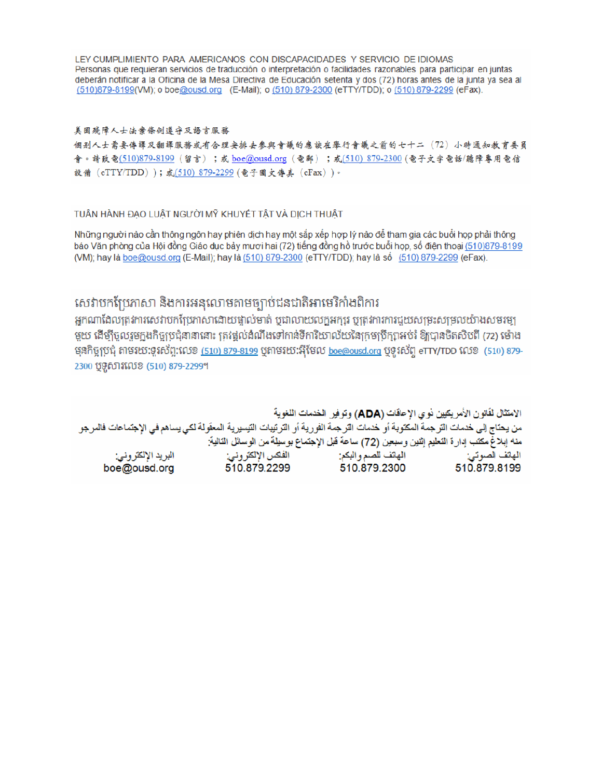LEY CUMPLIMIENTO PARA AMERICANOS CON DISCAPACIDADES Y SERVICIO DE IDIOMAS Personas que requieran servicios de traducción o interpretación o facilidades razonables para participar en juntas deberán notificar a la Oficina de la Mesa Directiva de Educación setenta y dos (72) horas antes de la junta ya sea al (510)879-8199(VM); o boe@ousd.org (E-Mail); o (510) 879-2300 (eTTY/TDD); o (510) 879-2299 (eFax).

#### 美国残障人士法案條例遵守及語言服務

個别人士需要傳譯及翻譯服務或有合理安排去參與會議的應該在舉行會議之前的七十二(72)小時通知教育委員 會。請致電(510)879-8199(留言);或 boe@ousd.org (電郵) ;或(510) 879-2300 (電子文字電話/聽障專用電信 設備 (eTTY/TDD));或(510) 879-2299 (電子圖文傳真 (eFax))。

### TUẦN HÀNH ĐẠO LUẬT NGƯỜI MỸ KHUYẾT TẤT VÀ DỊCH THUẬT

Những người nào cần thông ngôn hay phiên dịch hay một sắp xếp hợp lý nào để tham gia các buổi họp phải thông báo Văn phòng của Hội đồng Giáo dục bảy mươi hai (72) tiếng đồng hồ trước buổi họp, số điện thoại (510)879-8199 (VM); hay là boe@ousd.org (E-Mail); hay là (510) 879-2300 (eTTY/TDD); hay là số (510) 879-2299 (eFax).

## សេវាបកប្រែភាសា និងការអនុលោមតាមច្បាប់ជនជាតិអាមេរិកាំងពិការ

អកណាដែលត្រូវការសេវាបកប្រែភាសាដោយផ្ទាល់មាត់ ឬជាលាយលក្ខអក្សរ ឬត្រូវការការជួយសម្រះសម្រលយ៉ាងសមរម្យ មួយ ដើម្បីចូលរួមក្នុងកិច្ចប្រជុំនានានោះ ត្រវង្គល់ដំណឹងទៅកាន់ទីការិយាល័យនៃក្រមប្រឹក្សាអប់រំ ឱ្យបានចិតសិបពី (72) ម៉ោង មុនកិច្ចប្រជុំ តាមរយៈទូរស័ព្ទ:លេខ <u>(510) 879-8199</u> បុតាមរយៈអ៊ីមែល <u>boe@ousd.org</u> បុទូរស័ព្ទ eTTY/TDD លេខ (510) 879-2300 ប៊ូទូសារលេខ (510) 879-2299។

الامتثال لقانون الأمريكيين نو ي الإحاقات (ADA) وتوفير الخدمات اللغوية من يحتاج إلى خدمات الترجمة المكتوبة أو خدمات الترجمة الفورية أو الترتيبات التيسيرية المعفّولة لكي يساهم في الإجتماعات فالمرجو منه إبلاغ مكتب إدارة التعليم إثنين وسبعين (72) ساعة قبل الإجتماع بوسيلة من الوسائل التالية: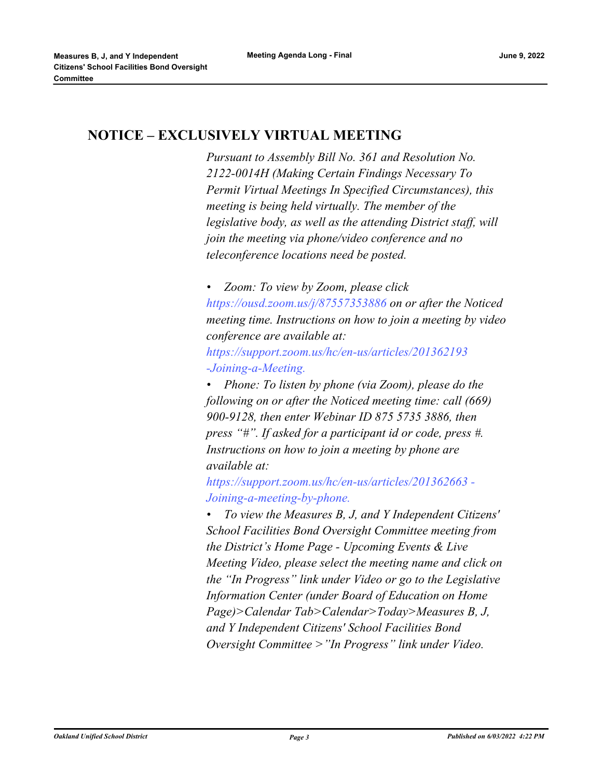### **NOTICE – EXCLUSIVELY VIRTUAL MEETING**

*Pursuant to Assembly Bill No. 361 and Resolution No. 2122-0014H (Making Certain Findings Necessary To Permit Virtual Meetings In Specified Circumstances), this meeting is being held virtually. The member of the legislative body, as well as the attending District staff, will join the meeting via phone/video conference and no teleconference locations need be posted.* 

*• Zoom: To view by Zoom, please click https://ousd.zoom.us/j/87557353886 on or after the Noticed meeting time. Instructions on how to join a meeting by video conference are available at:*

*https://support.zoom.us/hc/en-us/articles/201362193 -Joining-a-Meeting.*

*• Phone: To listen by phone (via Zoom), please do the following on or after the Noticed meeting time: call (669) 900-9128, then enter Webinar ID 875 5735 3886, then press "#". If asked for a participant id or code, press #. Instructions on how to join a meeting by phone are available at:*

*https://support.zoom.us/hc/en-us/articles/201362663 - Joining-a-meeting-by-phone.*

*• To view the Measures B, J, and Y Independent Citizens' School Facilities Bond Oversight Committee meeting from the District's Home Page - Upcoming Events & Live Meeting Video, please select the meeting name and click on the "In Progress" link under Video or go to the Legislative Information Center (under Board of Education on Home Page)>Calendar Tab>Calendar>Today>Measures B, J, and Y Independent Citizens' School Facilities Bond Oversight Committee >"In Progress" link under Video.*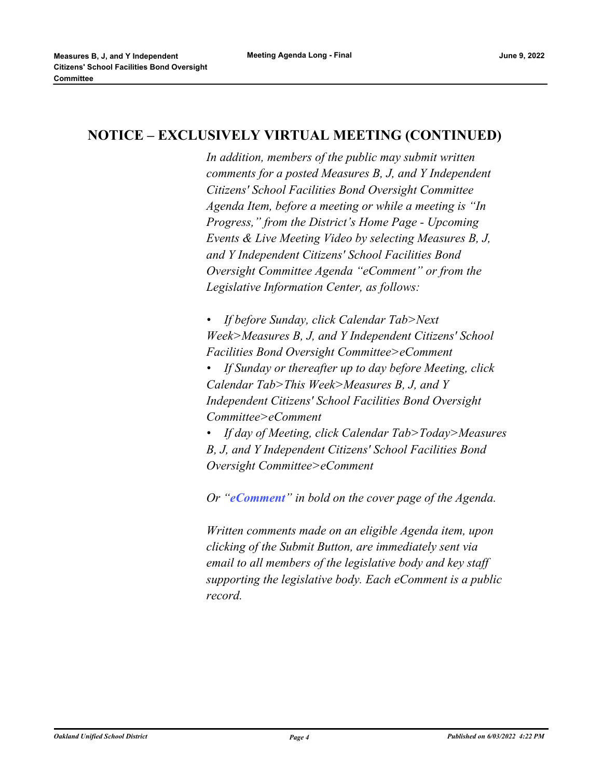### **NOTICE – EXCLUSIVELY VIRTUAL MEETING (CONTINUED)**

*In addition, members of the public may submit written comments for a posted Measures B, J, and Y Independent Citizens' School Facilities Bond Oversight Committee Agenda Item, before a meeting or while a meeting is "In Progress," from the District's Home Page - Upcoming Events & Live Meeting Video by selecting Measures B, J, and Y Independent Citizens' School Facilities Bond Oversight Committee Agenda "eComment" or from the Legislative Information Center, as follows:*

*• If before Sunday, click Calendar Tab>Next Week>Measures B, J, and Y Independent Citizens' School Facilities Bond Oversight Committee>eComment*

*• If Sunday or thereafter up to day before Meeting, click Calendar Tab>This Week>Measures B, J, and Y Independent Citizens' School Facilities Bond Oversight Committee>eComment*

*• If day of Meeting, click Calendar Tab>Today>Measures B, J, and Y Independent Citizens' School Facilities Bond Oversight Committee>eComment*

*Or "eComment" in bold on the cover page of the Agenda.* 

*Written comments made on an eligible Agenda item, upon clicking of the Submit Button, are immediately sent via email to all members of the legislative body and key staff supporting the legislative body. Each eComment is a public record.*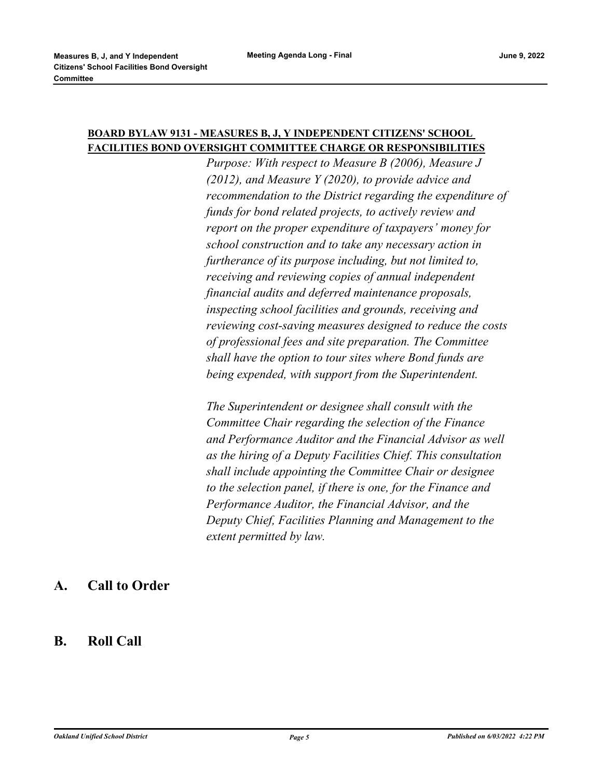### **BOARD BYLAW 9131 - MEASURES B, J, Y INDEPENDENT CITIZENS' SCHOOL FACILITIES BOND OVERSIGHT COMMITTEE CHARGE OR RESPONSIBILITIES**

*Purpose: With respect to Measure B (2006), Measure J (2012), and Measure Y (2020), to provide advice and recommendation to the District regarding the expenditure of funds for bond related projects, to actively review and report on the proper expenditure of taxpayers' money for school construction and to take any necessary action in furtherance of its purpose including, but not limited to, receiving and reviewing copies of annual independent financial audits and deferred maintenance proposals, inspecting school facilities and grounds, receiving and reviewing cost-saving measures designed to reduce the costs of professional fees and site preparation. The Committee shall have the option to tour sites where Bond funds are being expended, with support from the Superintendent.*

*The Superintendent or designee shall consult with the Committee Chair regarding the selection of the Finance and Performance Auditor and the Financial Advisor as well as the hiring of a Deputy Facilities Chief. This consultation shall include appointing the Committee Chair or designee to the selection panel, if there is one, for the Finance and Performance Auditor, the Financial Advisor, and the Deputy Chief, Facilities Planning and Management to the extent permitted by law.*

### **A. Call to Order**

**B. Roll Call**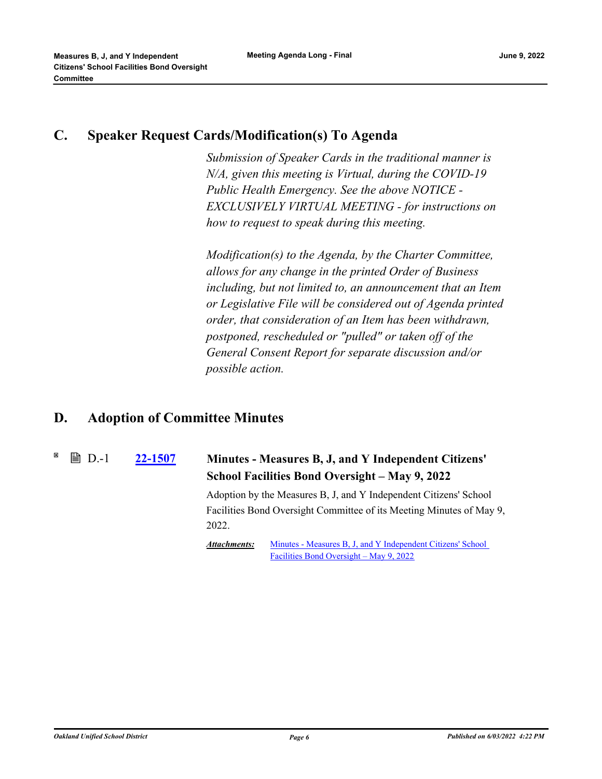## **C. Speaker Request Cards/Modification(s) To Agenda**

*Submission of Speaker Cards in the traditional manner is N/A, given this meeting is Virtual, during the COVID-19 Public Health Emergency. See the above NOTICE - EXCLUSIVELY VIRTUAL MEETING - for instructions on how to request to speak during this meeting.*

*Modification(s) to the Agenda, by the Charter Committee, allows for any change in the printed Order of Business including, but not limited to, an announcement that an Item or Legislative File will be considered out of Agenda printed order, that consideration of an Item has been withdrawn, postponed, rescheduled or "pulled" or taken off of the General Consent Report for separate discussion and/or possible action.*

# **D. Adoption of Committee Minutes**

#### **[22-1507](http://ousd.legistar.com/gateway.aspx?m=l&id=/matter.aspx?key=55801) Minutes - Measures B, J, and Y Independent Citizens' School Facilities Bond Oversight – May 9, 2022 ■ D.-1**

Adoption by the Measures B, J, and Y Independent Citizens' School Facilities Bond Oversight Committee of its Meeting Minutes of May 9, 2022.

[Minutes - Measures B, J, and Y Independent Citizens' School](https://ousd.legistar.com/View.ashx?M=M&ID=964777&GUID=C7E1BB08-B1E8-4D2B-8FB3-2C9AFD3E565C)  Facilities Bond Oversight – May 9, 2022 *Attachments:*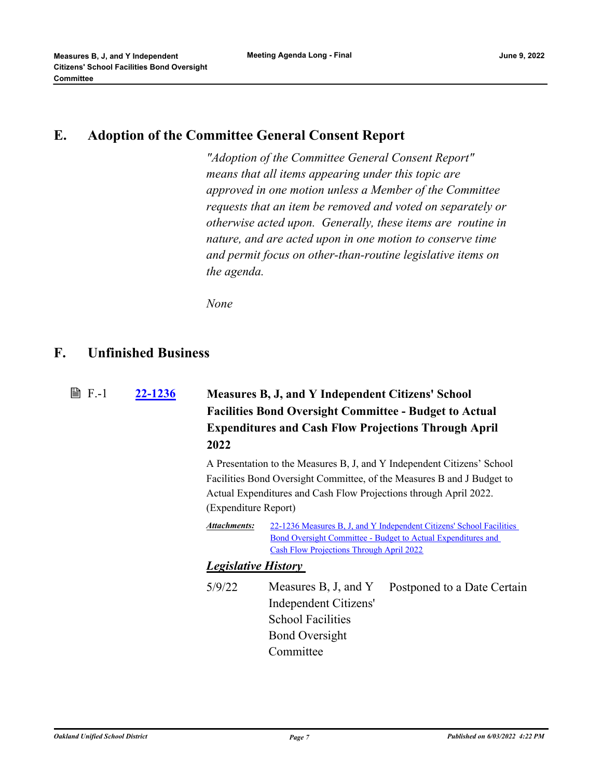### **E. Adoption of the Committee General Consent Report**

*"Adoption of the Committee General Consent Report" means that all items appearing under this topic are approved in one motion unless a Member of the Committee requests that an item be removed and voted on separately or otherwise acted upon. Generally, these items are routine in nature, and are acted upon in one motion to conserve time and permit focus on other-than-routine legislative items on the agenda.*

*None*

### **F. Unfinished Business**

**[22-1236](http://ousd.legistar.com/gateway.aspx?m=l&id=/matter.aspx?key=55530) Measures B, J, and Y Independent Citizens' School Facilities Bond Oversight Committee - Budget to Actual Expenditures and Cash Flow Projections Through April 2022 ■ F.-1** 

> A Presentation to the Measures B, J, and Y Independent Citizens' School Facilities Bond Oversight Committee, of the Measures B and J Budget to Actual Expenditures and Cash Flow Projections through April 2022. (Expenditure Report)

[22-1236 Measures B, J, and Y Independent Citizens' School Facilities](http://ousd.legistar.com/gateway.aspx?M=F&ID=104292.pdf)  Bond Oversight Committee - Budget to Actual Expenditures and Cash Flow Projections Through April 2022 *Attachments:*

### *Legislative History*

5/9/22 Measures B, J, and Y Independent Citizens' School Facilities Bond Oversight **Committee** Postponed to a Date Certain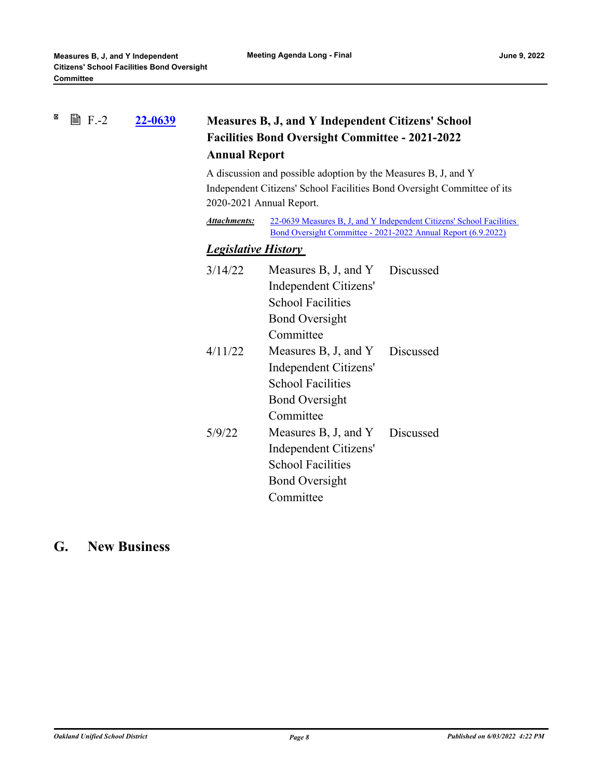#### $\boxtimes$ **■ F.-2 [22-0639](http://ousd.legistar.com/gateway.aspx?m=l&id=/matter.aspx?key=54934) Measures B, J, and Y Independent Citizens' School Facilities Bond Oversight Committee - 2021-2022 Annual Report**

A discussion and possible adoption by the Measures B, J, and Y Independent Citizens' School Facilities Bond Oversight Committee of its 2020-2021 Annual Report.

[22-0639 Measures B, J, and Y Independent Citizens' School Facilities](http://ousd.legistar.com/gateway.aspx?M=F&ID=104736.pdf)  Bond Oversight Committee - 2021-2022 Annual Report (6.9.2022) *Attachments:*

### *Legislative History*

| 3/14/22 | Measures B, J, and Y     | Discussed |
|---------|--------------------------|-----------|
|         | Independent Citizens'    |           |
|         | <b>School Facilities</b> |           |
|         | <b>Bond Oversight</b>    |           |
|         | Committee                |           |
| 4/11/22 | Measures B, J, and Y     | Discussed |
|         | Independent Citizens'    |           |
|         | <b>School Facilities</b> |           |
|         | <b>Bond Oversight</b>    |           |
|         | Committee                |           |
| 5/9/22  | Measures B, J, and Y     | Discussed |
|         | Independent Citizens'    |           |
|         | <b>School Facilities</b> |           |
|         | <b>Bond Oversight</b>    |           |
|         | Committee                |           |
|         |                          |           |

# **G. New Business**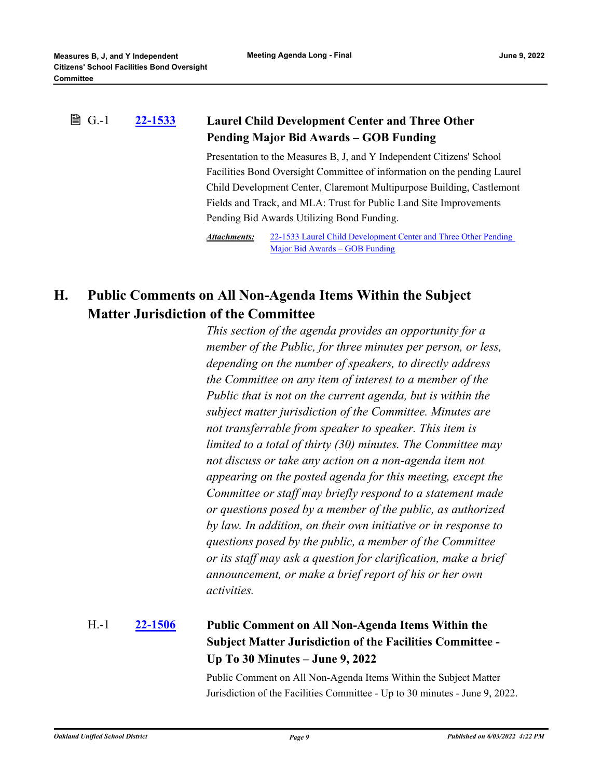#### **[22-1533](http://ousd.legistar.com/gateway.aspx?m=l&id=/matter.aspx?key=55827) Laurel Child Development Center and Three Other Pending Major Bid Awards – GOB Funding ■ G.-1**

Presentation to the Measures B, J, and Y Independent Citizens' School Facilities Bond Oversight Committee of information on the pending Laurel Child Development Center, Claremont Multipurpose Building, Castlemont Fields and Track, and MLA: Trust for Public Land Site Improvements Pending Bid Awards Utilizing Bond Funding.

[22-1533 Laurel Child Development Center and Three Other Pending](http://ousd.legistar.com/gateway.aspx?M=F&ID=104712.pptx)  Major Bid Awards – GOB Funding *Attachments:*

# **H. Public Comments on All Non-Agenda Items Within the Subject Matter Jurisdiction of the Committee**

*This section of the agenda provides an opportunity for a member of the Public, for three minutes per person, or less, depending on the number of speakers, to directly address the Committee on any item of interest to a member of the Public that is not on the current agenda, but is within the subject matter jurisdiction of the Committee. Minutes are not transferrable from speaker to speaker. This item is limited to a total of thirty (30) minutes. The Committee may not discuss or take any action on a non-agenda item not appearing on the posted agenda for this meeting, except the Committee or staff may briefly respond to a statement made or questions posed by a member of the public, as authorized by law. In addition, on their own initiative or in response to questions posed by the public, a member of the Committee or its staff may ask a question for clarification, make a brief announcement, or make a brief report of his or her own activities.*

### **[22-1506](http://ousd.legistar.com/gateway.aspx?m=l&id=/matter.aspx?key=55800) Public Comment on All Non-Agenda Items Within the Subject Matter Jurisdiction of the Facilities Committee - Up To 30 Minutes – June 9, 2022** H.-1

Public Comment on All Non-Agenda Items Within the Subject Matter Jurisdiction of the Facilities Committee - Up to 30 minutes - June 9, 2022.